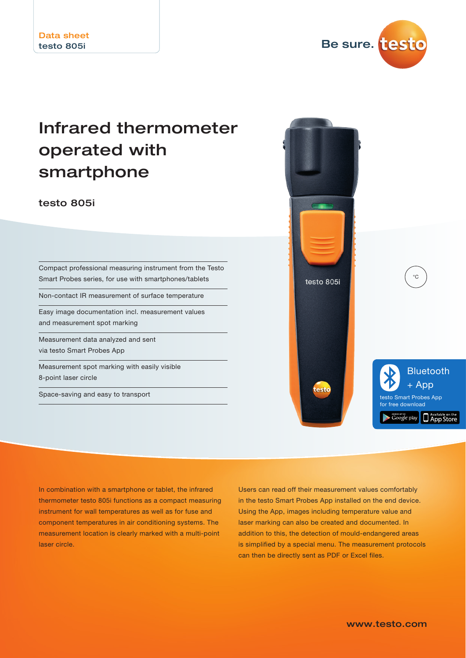

# Infrared thermometer operated with smartphone

testo 805i

Compact professional measuring instrument from the Testo Smart Probes series, for use with smartphones/tablets

Non-contact IR measurement of surface temperature

Easy image documentation incl. measurement values and measurement spot marking

Measurement data analyzed and sent via testo Smart Probes App

Measurement spot marking with easily visible 8-point laser circle

Space-saving and easy to transport



In combination with a smartphone or tablet, the infrared thermometer testo 805i functions as a compact measuring instrument for wall temperatures as well as for fuse and component temperatures in air conditioning systems. The measurement location is clearly marked with a multi-point laser circle.

Users can read off their measurement values comfortably in the testo Smart Probes App installed on the end device. Using the App, images including temperature value and laser marking can also be created and documented. In addition to this, the detection of mould-endangered areas is simplified by a special menu. The measurement protocols can then be directly sent as PDF or Excel files.